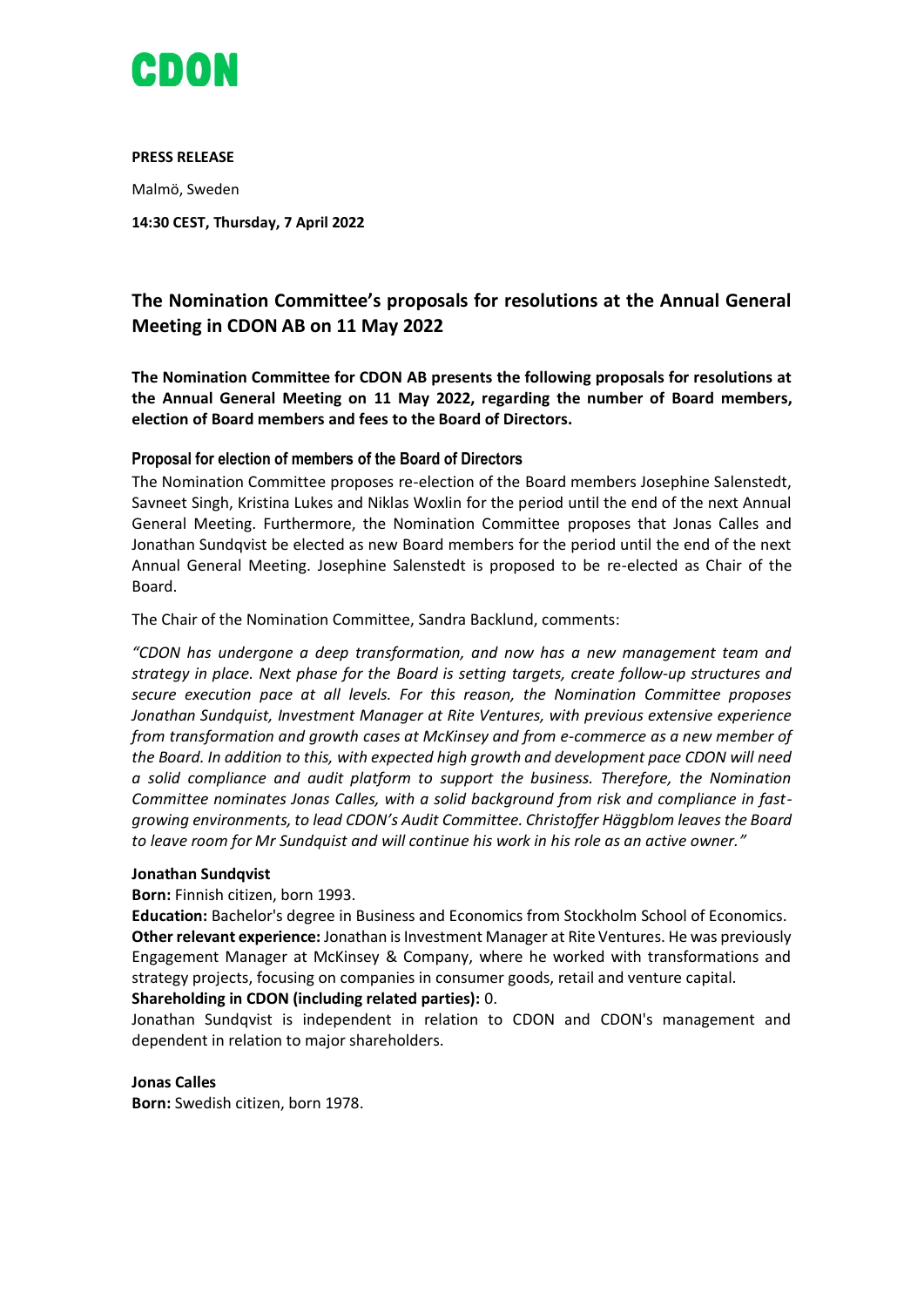

**PRESS RELEASE** Malmö, Sweden **14:30 CEST, Thursday, 7 April 2022**

# **The Nomination Committee's proposals for resolutions at the Annual General Meeting in CDON AB on 11 May 2022**

**The Nomination Committee for CDON AB presents the following proposals for resolutions at the Annual General Meeting on 11 May 2022, regarding the number of Board members, election of Board members and fees to the Board of Directors.** 

# **Proposal for election of members of the Board of Directors**

The Nomination Committee proposes re-election of the Board members Josephine Salenstedt, Savneet Singh, Kristina Lukes and Niklas Woxlin for the period until the end of the next Annual General Meeting. Furthermore, the Nomination Committee proposes that Jonas Calles and Jonathan Sundqvist be elected as new Board members for the period until the end of the next Annual General Meeting. Josephine Salenstedt is proposed to be re-elected as Chair of the Board.

The Chair of the Nomination Committee, Sandra Backlund, comments:

*"CDON has undergone a deep transformation, and now has a new management team and strategy in place. Next phase for the Board is setting targets, create follow-up structures and secure execution pace at all levels. For this reason, the Nomination Committee proposes Jonathan Sundquist, Investment Manager at Rite Ventures, with previous extensive experience from transformation and growth cases at McKinsey and from e-commerce as a new member of the Board. In addition to this, with expected high growth and development pace CDON will need a solid compliance and audit platform to support the business. Therefore, the Nomination Committee nominates Jonas Calles, with a solid background from risk and compliance in fastgrowing environments, to lead CDON's Audit Committee. Christoffer Häggblom leaves the Board to leave room for Mr Sundquist and will continue his work in his role as an active owner."*

# **Jonathan Sundqvist**

**Born:** Finnish citizen, born 1993.

**Education:** Bachelor's degree in Business and Economics from Stockholm School of Economics. **Other relevant experience:** Jonathan is Investment Manager at Rite Ventures. He was previously Engagement Manager at McKinsey & Company, where he worked with transformations and strategy projects, focusing on companies in consumer goods, retail and venture capital.

# **Shareholding in CDON (including related parties):** 0.

Jonathan Sundqvist is independent in relation to CDON and CDON's management and dependent in relation to major shareholders.

# **Jonas Calles**

**Born:** Swedish citizen, born 1978.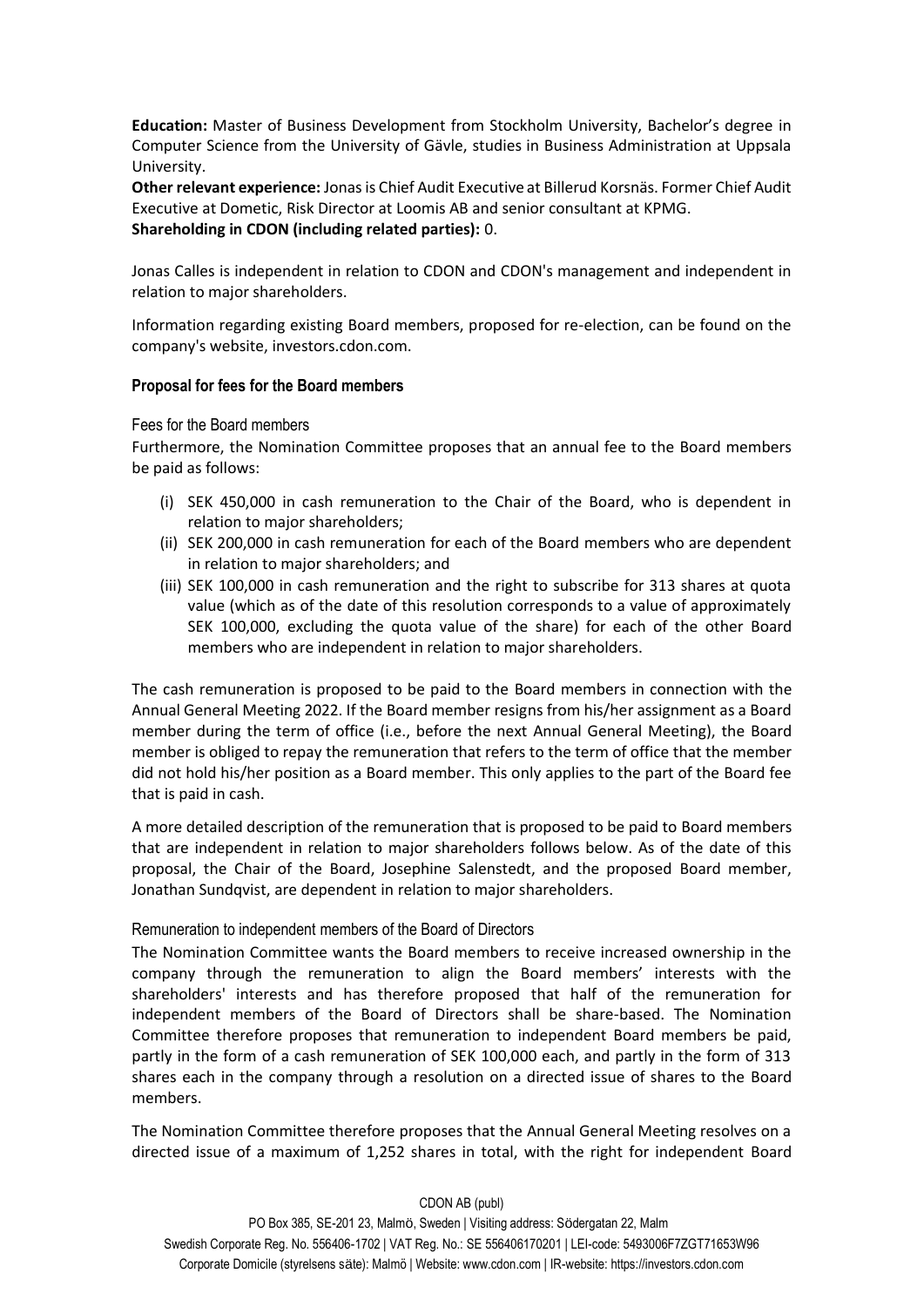**Education:** Master of Business Development from Stockholm University, Bachelor's degree in Computer Science from the University of Gävle, studies in Business Administration at Uppsala University.

**Other relevant experience:** Jonas is Chief Audit Executive at Billerud Korsnäs. Former Chief Audit Executive at Dometic, Risk Director at Loomis AB and senior consultant at KPMG. **Shareholding in CDON (including related parties):** 0.

Jonas Calles is independent in relation to CDON and CDON's management and independent in relation to major shareholders.

Information regarding existing Board members, proposed for re-election, can be found on the company's website, investors.cdon.com.

# **Proposal for fees for the Board members**

#### Fees for the Board members

Furthermore, the Nomination Committee proposes that an annual fee to the Board members be paid as follows:

- (i) SEK 450,000 in cash remuneration to the Chair of the Board, who is dependent in relation to major shareholders;
- (ii) SEK 200,000 in cash remuneration for each of the Board members who are dependent in relation to major shareholders; and
- (iii) SEK 100,000 in cash remuneration and the right to subscribe for 313 shares at quota value (which as of the date of this resolution corresponds to a value of approximately SEK 100,000, excluding the quota value of the share) for each of the other Board members who are independent in relation to major shareholders.

The cash remuneration is proposed to be paid to the Board members in connection with the Annual General Meeting 2022. If the Board member resigns from his/her assignment as a Board member during the term of office (i.e., before the next Annual General Meeting), the Board member is obliged to repay the remuneration that refers to the term of office that the member did not hold his/her position as a Board member. This only applies to the part of the Board fee that is paid in cash.

A more detailed description of the remuneration that is proposed to be paid to Board members that are independent in relation to major shareholders follows below. As of the date of this proposal, the Chair of the Board, Josephine Salenstedt, and the proposed Board member, Jonathan Sundqvist, are dependent in relation to major shareholders.

# Remuneration to independent members of the Board of Directors

The Nomination Committee wants the Board members to receive increased ownership in the company through the remuneration to align the Board members' interests with the shareholders' interests and has therefore proposed that half of the remuneration for independent members of the Board of Directors shall be share-based. The Nomination Committee therefore proposes that remuneration to independent Board members be paid, partly in the form of a cash remuneration of SEK 100,000 each, and partly in the form of 313 shares each in the company through a resolution on a directed issue of shares to the Board members.

The Nomination Committee therefore proposes that the Annual General Meeting resolves on a directed issue of a maximum of 1,252 shares in total, with the right for independent Board

#### CDON AB (publ)

PO Box 385, SE-201 23, Malmö, Sweden | Visiting address: Södergatan 22, Malm Swedish Corporate Reg. No. 556406-1702 | VAT Reg. No.: SE 556406170201 | LEI-code: 5493006F7ZGT71653W96 Corporate Domicile (styrelsens säte): Malmö | Website: www.cdon.com | IR-website: https://investors.cdon.com